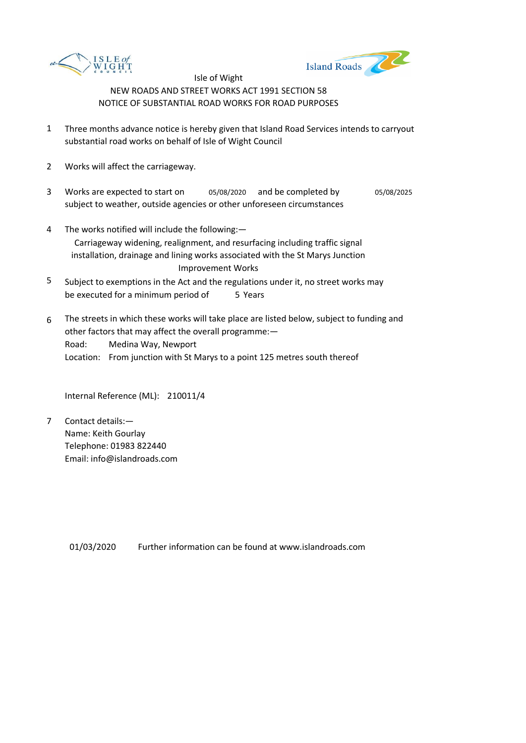



- 1 Three months advance notice is hereby given that Island Road Services intends to carryout substantial road works on behalf of Isle of Wight Council
- 2 Works will affect the carriageway.
- 3 Works are expected to start on subject to weather, outside agencies or other unforeseen circumstances 05/08/2020 and be completed by 05/08/2025
- 4 The works notified will include the following:— Carriageway widening, realignment, and resurfacing including traffic signal installation, drainage and lining works associated with the St Marys Junction Improvement Works
- 5 be executed for a minimum period of 5 Years Subject to exemptions in the Act and the regulations under it, no street works may
- 6 Road: Location: From junction with St Marys to a point 125 metres south thereof The streets in which these works will take place are listed below, subject to funding and other factors that may affect the overall programme:— Medina Way, Newport

Internal Reference (ML): 210011/4

7 Contact details:— Name: Keith Gourlay Telephone: 01983 822440 Email: info@islandroads.com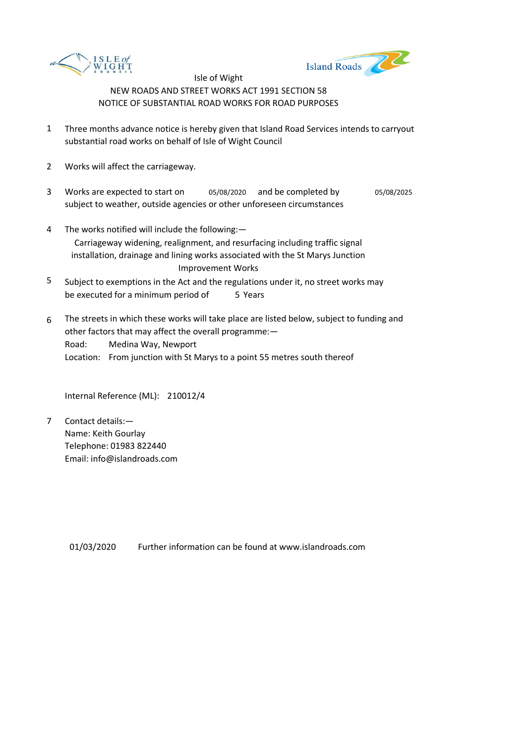



- 1 Three months advance notice is hereby given that Island Road Services intends to carryout substantial road works on behalf of Isle of Wight Council
- 2 Works will affect the carriageway.
- 3 Works are expected to start on subject to weather, outside agencies or other unforeseen circumstances 05/08/2020 and be completed by 05/08/2025
- 4 The works notified will include the following:— Carriageway widening, realignment, and resurfacing including traffic signal installation, drainage and lining works associated with the St Marys Junction Improvement Works
- 5 be executed for a minimum period of 5 Years Subject to exemptions in the Act and the regulations under it, no street works may
- 6 Road: Location: From junction with St Marys to a point 55 metres south thereof The streets in which these works will take place are listed below, subject to funding and other factors that may affect the overall programme:— Medina Way, Newport

Internal Reference (ML): 210012/4

7 Contact details:— Name: Keith Gourlay Telephone: 01983 822440 Email: info@islandroads.com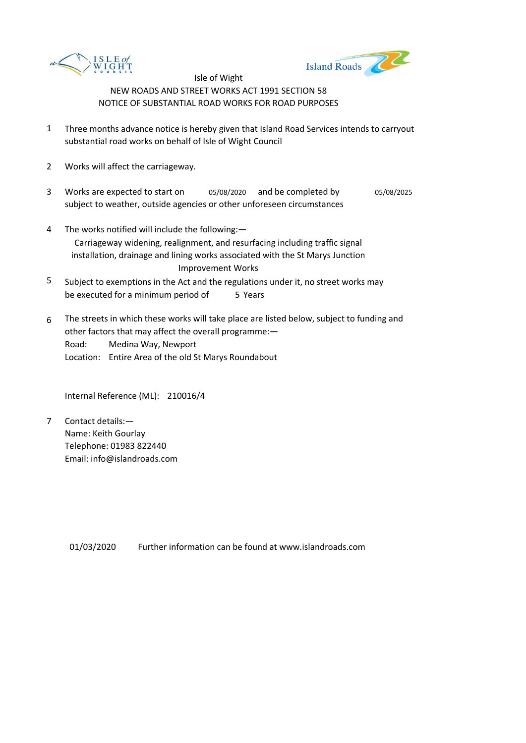



- 1 Three months advance notice is hereby given that Island Road Services intends to carryout substantial road works on behalf of Isle of Wight Council
- 2 Works will affect the carriageway.
- 3 Works are expected to start on subject to weather, outside agencies or other unforeseen circumstances 05/08/2020 and be completed by 05/08/2025
- 4 The works notified will include the following:— Carriageway widening, realignment, and resurfacing including traffic signal installation, drainage and lining works associated with the St Marys Junction Improvement Works
- 5 be executed for a minimum period of 5 Years Subject to exemptions in the Act and the regulations under it, no street works may
- 6 Road: Location: Entire Area of the old St Marys Roundabout The streets in which these works will take place are listed below, subject to funding and other factors that may affect the overall programme:— Medina Way, Newport

Internal Reference (ML): 210016/4

7 Contact details:— Name: Keith Gourlay Telephone: 01983 822440 Email: info@islandroads.com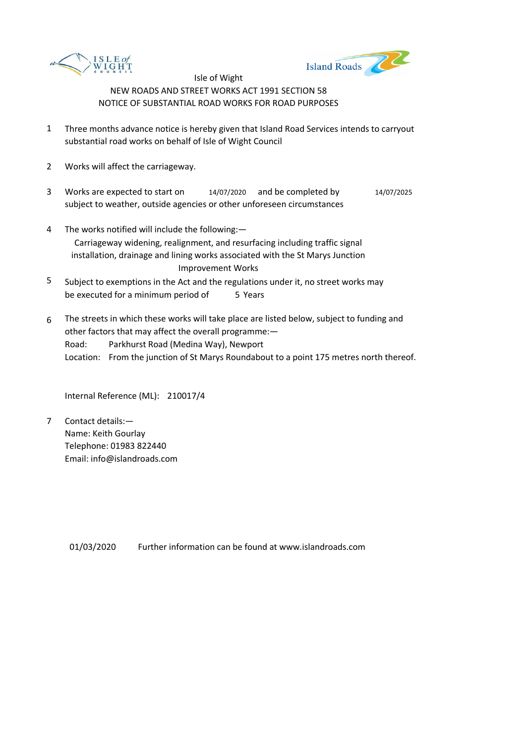



- 1 Three months advance notice is hereby given that Island Road Services intends to carryout substantial road works on behalf of Isle of Wight Council
- 2 Works will affect the carriageway.
- 3 Works are expected to start on subject to weather, outside agencies or other unforeseen circumstances 14/07/2020 and be completed by 14/07/2025
- 4 The works notified will include the following:— Carriageway widening, realignment, and resurfacing including traffic signal installation, drainage and lining works associated with the St Marys Junction Improvement Works
- 5 be executed for a minimum period of 5 Years Subject to exemptions in the Act and the regulations under it, no street works may
- 6 Road: Location: From the junction of St Marys Roundabout to a point 175 metres north thereof. The streets in which these works will take place are listed below, subject to funding and other factors that may affect the overall programme:— Parkhurst Road (Medina Way), Newport

Internal Reference (ML): 210017/4

7 Contact details:— Name: Keith Gourlay Telephone: 01983 822440 Email: info@islandroads.com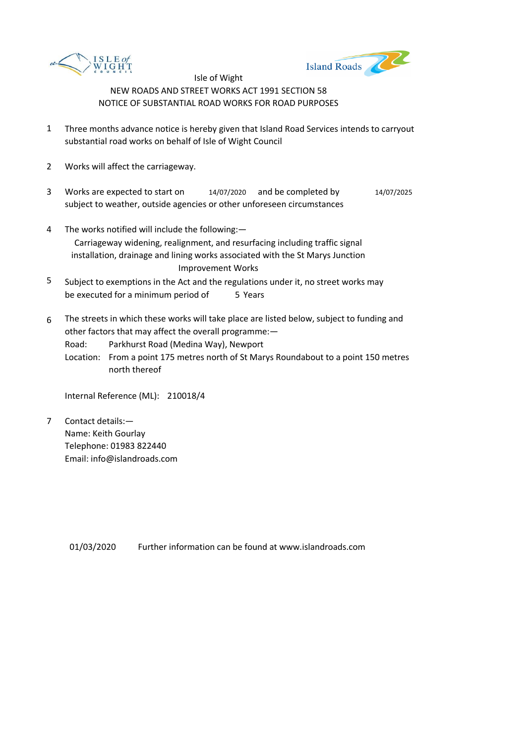



- 1 Three months advance notice is hereby given that Island Road Services intends to carryout substantial road works on behalf of Isle of Wight Council
- 2 Works will affect the carriageway.
- 3 Works are expected to start on subject to weather, outside agencies or other unforeseen circumstances 14/07/2020 and be completed by 14/07/2025
- 4 The works notified will include the following:— Carriageway widening, realignment, and resurfacing including traffic signal installation, drainage and lining works associated with the St Marys Junction Improvement Works
- 5 be executed for a minimum period of 5 Years Subject to exemptions in the Act and the regulations under it, no street works may
- 6 The streets in which these works will take place are listed below, subject to funding and other factors that may affect the overall programme:—
	- Road: Parkhurst Road (Medina Way), Newport
	- Location: From a point 175 metres north of St Marys Roundabout to a point 150 metres north thereof

Internal Reference (ML): 210018/4

7 Contact details:— Name: Keith Gourlay Telephone: 01983 822440 Email: info@islandroads.com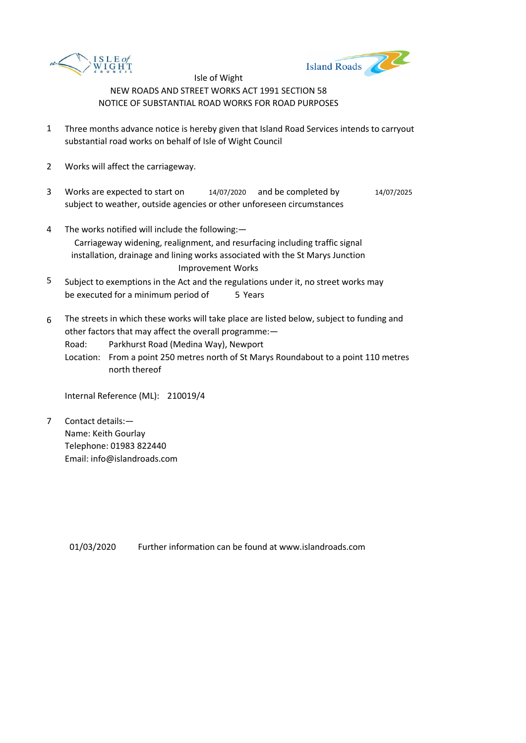



- 1 Three months advance notice is hereby given that Island Road Services intends to carryout substantial road works on behalf of Isle of Wight Council
- 2 Works will affect the carriageway.
- 3 Works are expected to start on subject to weather, outside agencies or other unforeseen circumstances 14/07/2020 and be completed by 14/07/2025
- 4 The works notified will include the following:— Carriageway widening, realignment, and resurfacing including traffic signal installation, drainage and lining works associated with the St Marys Junction Improvement Works
- 5 be executed for a minimum period of 5 Years Subject to exemptions in the Act and the regulations under it, no street works may
- 6 The streets in which these works will take place are listed below, subject to funding and other factors that may affect the overall programme:—
	- Road: Parkhurst Road (Medina Way), Newport
	- Location: From a point 250 metres north of St Marys Roundabout to a point 110 metres north thereof

Internal Reference (ML): 210019/4

7 Contact details:— Name: Keith Gourlay Telephone: 01983 822440 Email: info@islandroads.com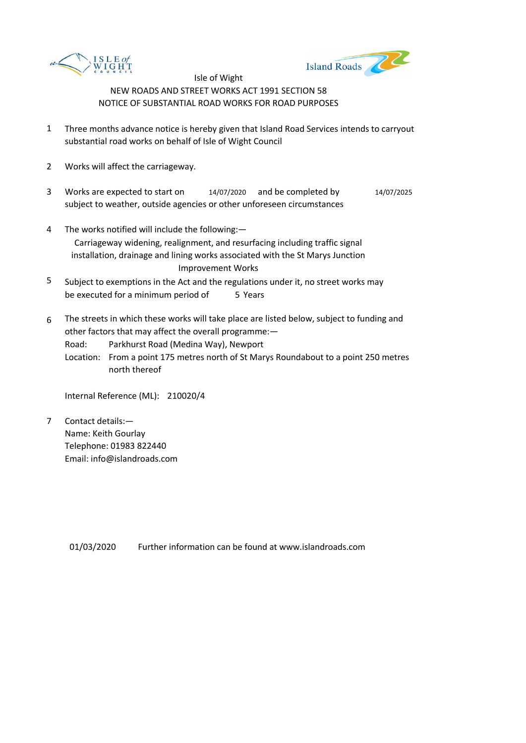



- 1 Three months advance notice is hereby given that Island Road Services intends to carryout substantial road works on behalf of Isle of Wight Council
- 2 Works will affect the carriageway.
- 3 Works are expected to start on subject to weather, outside agencies or other unforeseen circumstances 14/07/2020 and be completed by 14/07/2025
- 4 The works notified will include the following:— Carriageway widening, realignment, and resurfacing including traffic signal installation, drainage and lining works associated with the St Marys Junction Improvement Works
- 5 be executed for a minimum period of 5 Years Subject to exemptions in the Act and the regulations under it, no street works may
- 6 The streets in which these works will take place are listed below, subject to funding and other factors that may affect the overall programme:—
	- Road: Parkhurst Road (Medina Way), Newport
	- Location: From a point 175 metres north of St Marys Roundabout to a point 250 metres north thereof

Internal Reference (ML): 210020/4

7 Contact details:— Name: Keith Gourlay Telephone: 01983 822440 Email: info@islandroads.com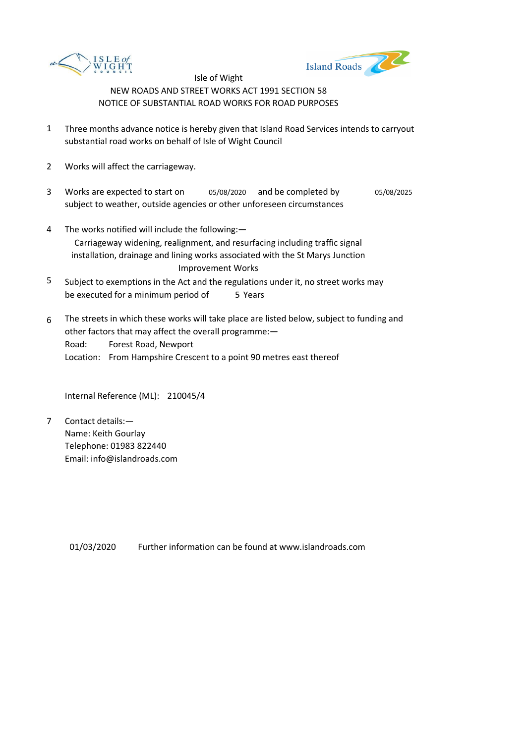



- 1 Three months advance notice is hereby given that Island Road Services intends to carryout substantial road works on behalf of Isle of Wight Council
- 2 Works will affect the carriageway.
- 3 Works are expected to start on subject to weather, outside agencies or other unforeseen circumstances 05/08/2020 and be completed by 05/08/2025
- 4 The works notified will include the following:— Carriageway widening, realignment, and resurfacing including traffic signal installation, drainage and lining works associated with the St Marys Junction Improvement Works
- 5 be executed for a minimum period of 5 Years Subject to exemptions in the Act and the regulations under it, no street works may
- 6 Road: Location: From Hampshire Crescent to a point 90 metres east thereof The streets in which these works will take place are listed below, subject to funding and other factors that may affect the overall programme:— Forest Road, Newport

Internal Reference (ML): 210045/4

7 Contact details:— Name: Keith Gourlay Telephone: 01983 822440 Email: info@islandroads.com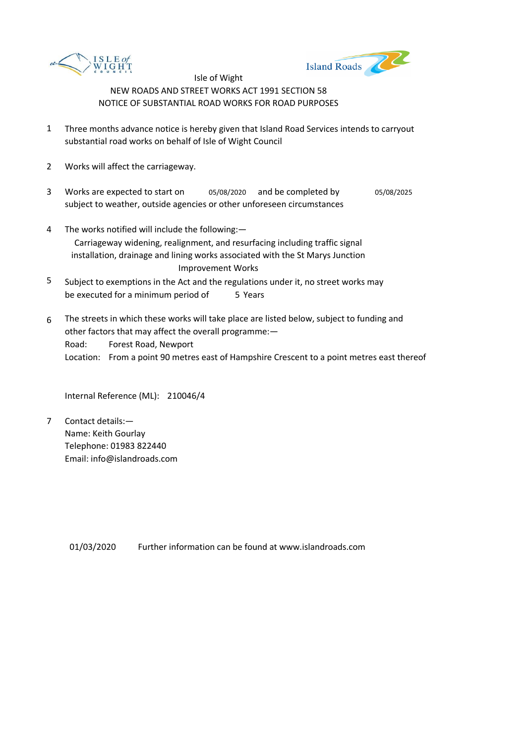



- 1 Three months advance notice is hereby given that Island Road Services intends to carryout substantial road works on behalf of Isle of Wight Council
- 2 Works will affect the carriageway.
- 3 Works are expected to start on subject to weather, outside agencies or other unforeseen circumstances 05/08/2020 and be completed by 05/08/2025
- 4 The works notified will include the following:— Carriageway widening, realignment, and resurfacing including traffic signal installation, drainage and lining works associated with the St Marys Junction Improvement Works
- 5 be executed for a minimum period of 5 Years Subject to exemptions in the Act and the regulations under it, no street works may
- 6 Road: Location: From a point 90 metres east of Hampshire Crescent to a point metres east thereof The streets in which these works will take place are listed below, subject to funding and other factors that may affect the overall programme:— Forest Road, Newport

Internal Reference (ML): 210046/4

7 Contact details:— Name: Keith Gourlay Telephone: 01983 822440 Email: info@islandroads.com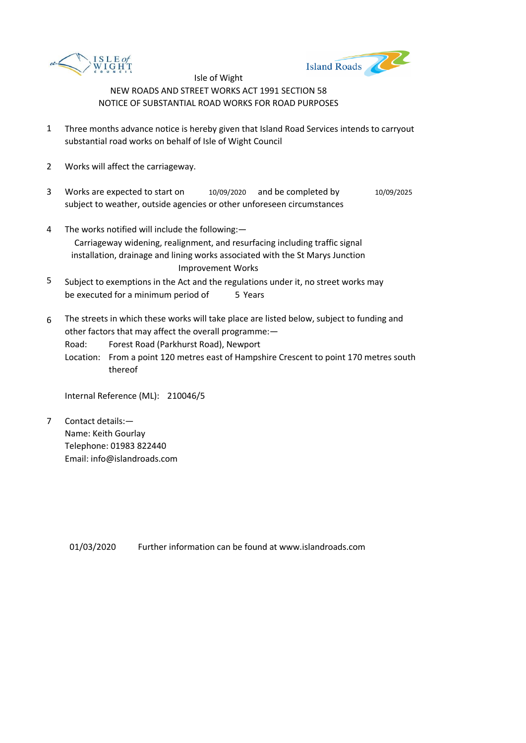



- 1 Three months advance notice is hereby given that Island Road Services intends to carryout substantial road works on behalf of Isle of Wight Council
- 2 Works will affect the carriageway.
- 3 Works are expected to start on subject to weather, outside agencies or other unforeseen circumstances 10/09/2020 and be completed by 10/09/2025
- 4 The works notified will include the following:— Carriageway widening, realignment, and resurfacing including traffic signal installation, drainage and lining works associated with the St Marys Junction Improvement Works
- 5 be executed for a minimum period of 5 Years Subject to exemptions in the Act and the regulations under it, no street works may
- 6 The streets in which these works will take place are listed below, subject to funding and other factors that may affect the overall programme:—
	- Road: Forest Road (Parkhurst Road), Newport
	- Location: From a point 120 metres east of Hampshire Crescent to point 170 metres south thereof

Internal Reference (ML): 210046/5

7 Contact details:— Name: Keith Gourlay Telephone: 01983 822440 Email: info@islandroads.com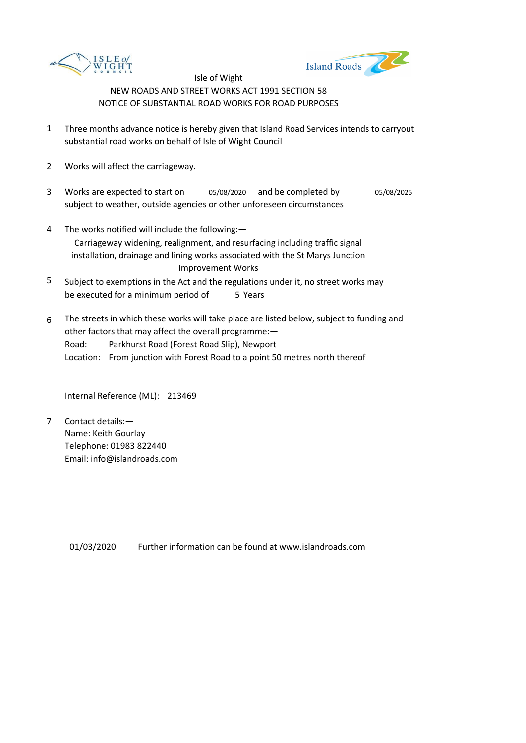



- 1 Three months advance notice is hereby given that Island Road Services intends to carryout substantial road works on behalf of Isle of Wight Council
- 2 Works will affect the carriageway.
- 3 Works are expected to start on subject to weather, outside agencies or other unforeseen circumstances 05/08/2020 and be completed by 05/08/2025
- 4 The works notified will include the following:— Carriageway widening, realignment, and resurfacing including traffic signal installation, drainage and lining works associated with the St Marys Junction Improvement Works
- 5 be executed for a minimum period of 5 Years Subject to exemptions in the Act and the regulations under it, no street works may
- 6 Road: Location: From junction with Forest Road to a point 50 metres north thereof The streets in which these works will take place are listed below, subject to funding and other factors that may affect the overall programme:— Parkhurst Road (Forest Road Slip), Newport

Internal Reference (ML): 213469

7 Contact details:— Name: Keith Gourlay Telephone: 01983 822440 Email: info@islandroads.com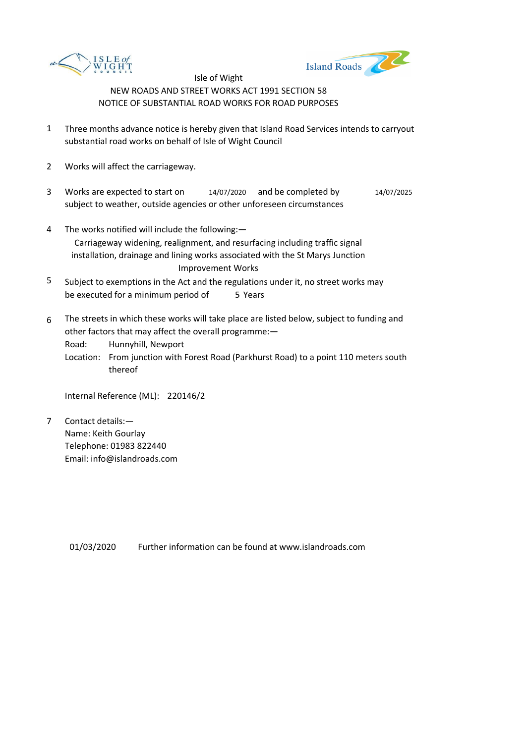



- 1 Three months advance notice is hereby given that Island Road Services intends to carryout substantial road works on behalf of Isle of Wight Council
- 2 Works will affect the carriageway.
- 3 Works are expected to start on subject to weather, outside agencies or other unforeseen circumstances 14/07/2020 and be completed by 14/07/2025
- 4 The works notified will include the following:— Carriageway widening, realignment, and resurfacing including traffic signal installation, drainage and lining works associated with the St Marys Junction Improvement Works
- 5 be executed for a minimum period of 5 Years Subject to exemptions in the Act and the regulations under it, no street works may
- 6 The streets in which these works will take place are listed below, subject to funding and other factors that may affect the overall programme:—
	- Road: Hunnyhill, Newport
	- Location: From junction with Forest Road (Parkhurst Road) to a point 110 meters south thereof

Internal Reference (ML): 220146/2

7 Contact details:— Name: Keith Gourlay Telephone: 01983 822440 Email: info@islandroads.com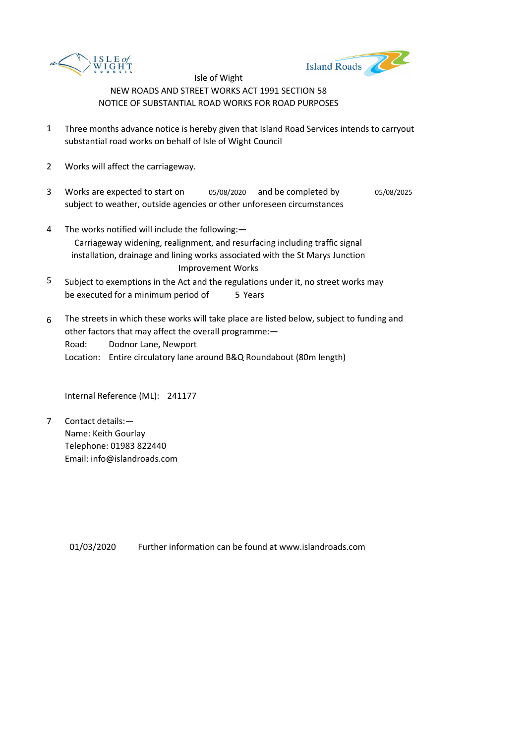



- 1 Three months advance notice is hereby given that Island Road Services intends to carryout substantial road works on behalf of Isle of Wight Council
- 2 Works will affect the carriageway.
- 3 Works are expected to start on subject to weather, outside agencies or other unforeseen circumstances 05/08/2020 and be completed by 05/08/2025
- 4 The works notified will include the following:— Carriageway widening, realignment, and resurfacing including traffic signal installation, drainage and lining works associated with the St Marys Junction Improvement Works
- 5 be executed for a minimum period of 5 Years Subject to exemptions in the Act and the regulations under it, no street works may
- 6 Road: Location: Entire circulatory lane around B&Q Roundabout (80m length) The streets in which these works will take place are listed below, subject to funding and other factors that may affect the overall programme:— Dodnor Lane, Newport

Internal Reference (ML): 241177

7 Contact details:— Name: Keith Gourlay Telephone: 01983 822440 Email: info@islandroads.com